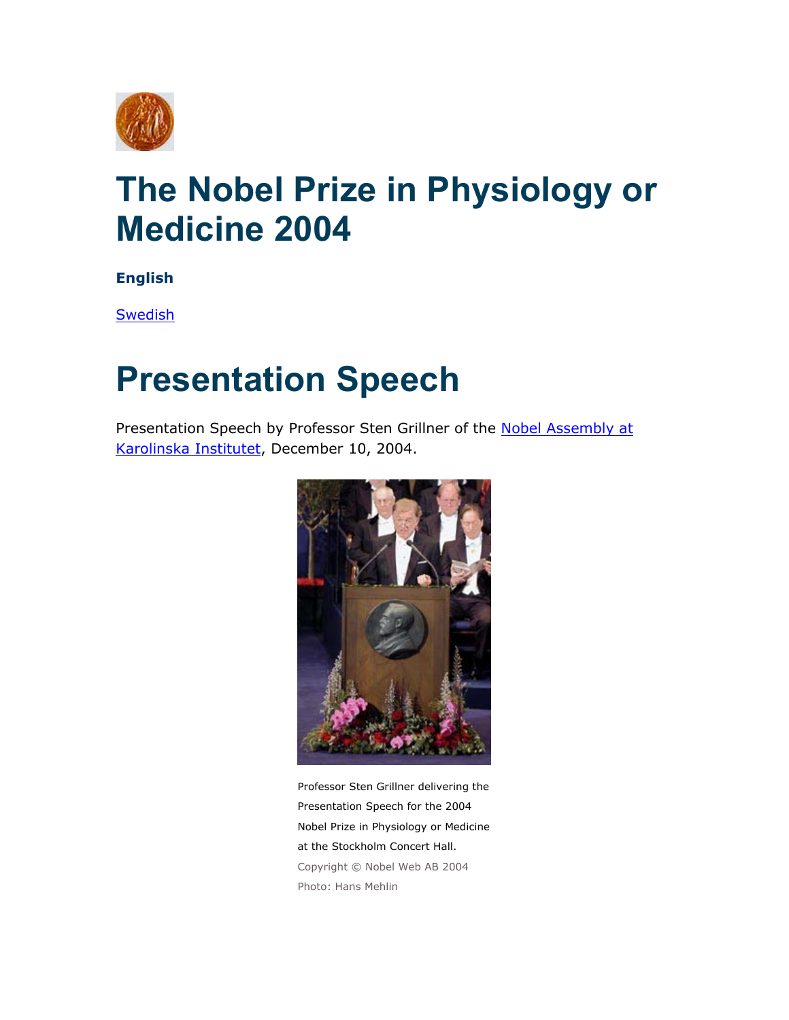

## **The Nobel Prize in Physiology or Medicine 2004**

**English**

**Swedish** 

## **Presentation Speech**

Presentation Speech by Professor Sten Grillner of the Nobel Assembly at [Karolinska Institutet](http://nobelprize.org/redirect/links_out/prizeawarder.php?from=/nobel_prizes/medicine/laureates/2004/presentation-speech.html&object=ki&to=http://www.mednobel.ki.se/), December 10, 2004.



Professor Sten Grillner delivering the Presentation Speech for the 2004 Nobel Prize in Physiology or Medicine at the Stockholm Concert Hall. Copyright © Nobel Web AB 2004 Photo: Hans Mehlin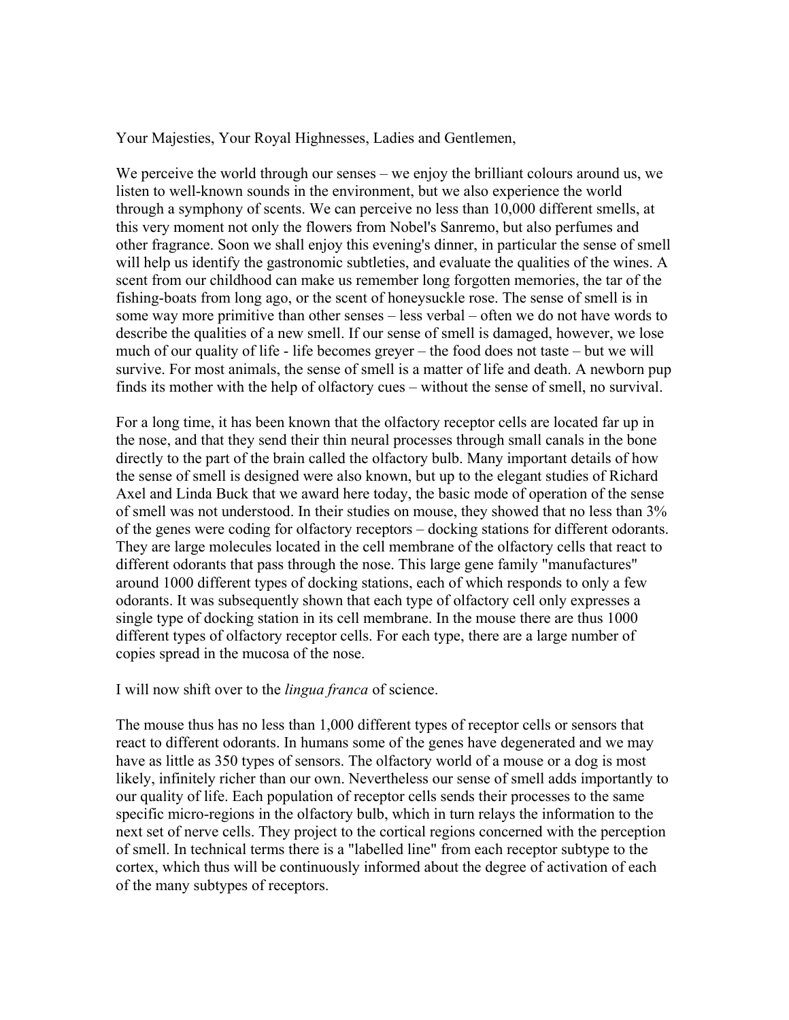Your Majesties, Your Royal Highnesses, Ladies and Gentlemen,

We perceive the world through our senses – we enjoy the brilliant colours around us, we listen to well-known sounds in the environment, but we also experience the world through a symphony of scents. We can perceive no less than 10,000 different smells, at this very moment not only the flowers from Nobel's Sanremo, but also perfumes and other fragrance. Soon we shall enjoy this evening's dinner, in particular the sense of smell will help us identify the gastronomic subtleties, and evaluate the qualities of the wines. A scent from our childhood can make us remember long forgotten memories, the tar of the fishing-boats from long ago, or the scent of honeysuckle rose. The sense of smell is in some way more primitive than other senses – less verbal – often we do not have words to describe the qualities of a new smell. If our sense of smell is damaged, however, we lose much of our quality of life - life becomes greyer – the food does not taste – but we will survive. For most animals, the sense of smell is a matter of life and death. A newborn pup finds its mother with the help of olfactory cues – without the sense of smell, no survival.

For a long time, it has been known that the olfactory receptor cells are located far up in the nose, and that they send their thin neural processes through small canals in the bone directly to the part of the brain called the olfactory bulb. Many important details of how the sense of smell is designed were also known, but up to the elegant studies of Richard Axel and Linda Buck that we award here today, the basic mode of operation of the sense of smell was not understood. In their studies on mouse, they showed that no less than 3% of the genes were coding for olfactory receptors – docking stations for different odorants. They are large molecules located in the cell membrane of the olfactory cells that react to different odorants that pass through the nose. This large gene family "manufactures" around 1000 different types of docking stations, each of which responds to only a few odorants. It was subsequently shown that each type of olfactory cell only expresses a single type of docking station in its cell membrane. In the mouse there are thus 1000 different types of olfactory receptor cells. For each type, there are a large number of copies spread in the mucosa of the nose.

I will now shift over to the *lingua franca* of science.

The mouse thus has no less than 1,000 different types of receptor cells or sensors that react to different odorants. In humans some of the genes have degenerated and we may have as little as 350 types of sensors. The olfactory world of a mouse or a dog is most likely, infinitely richer than our own. Nevertheless our sense of smell adds importantly to our quality of life. Each population of receptor cells sends their processes to the same specific micro-regions in the olfactory bulb, which in turn relays the information to the next set of nerve cells. They project to the cortical regions concerned with the perception of smell. In technical terms there is a "labelled line" from each receptor subtype to the cortex, which thus will be continuously informed about the degree of activation of each of the many subtypes of receptors.